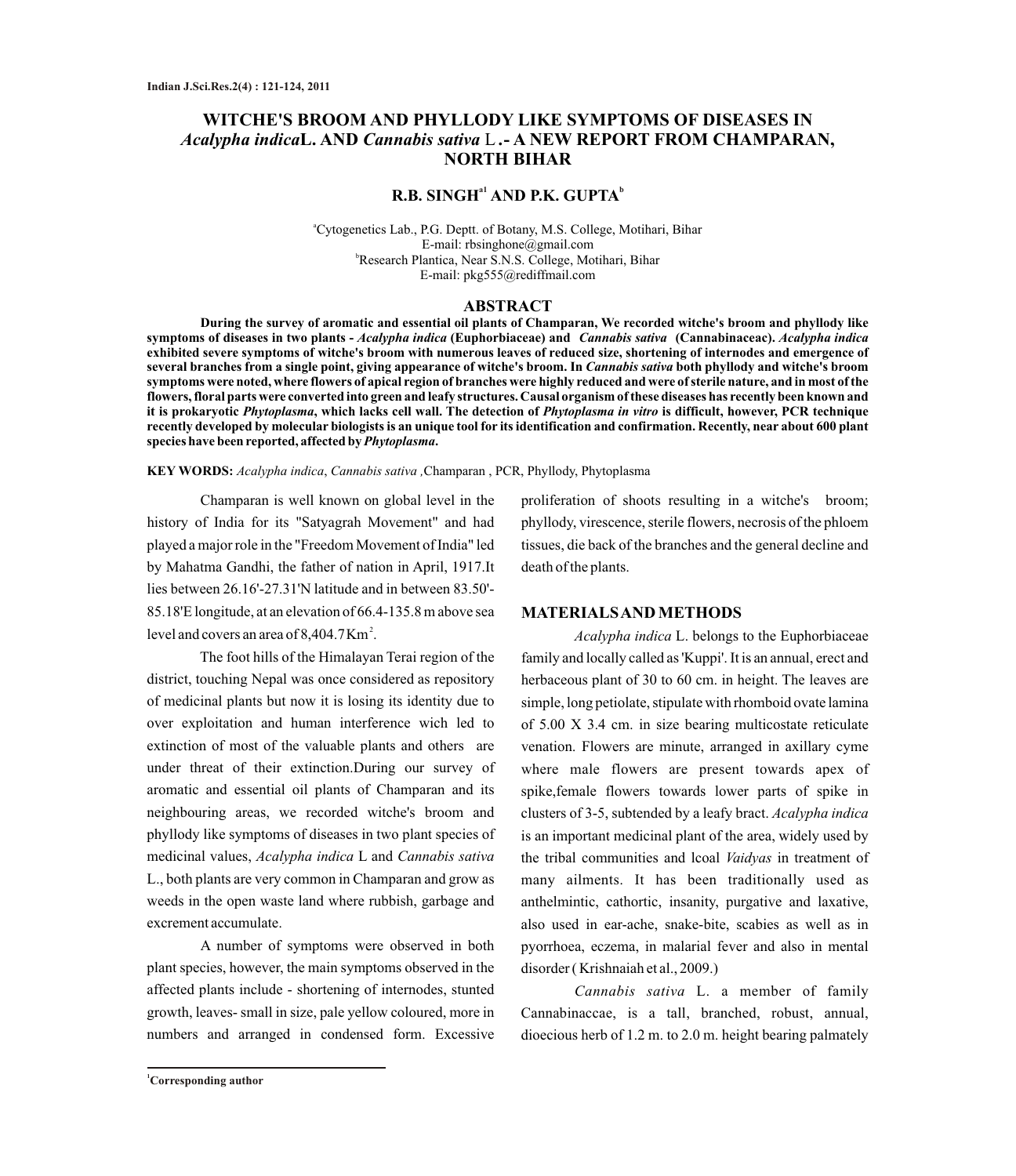# **WITCHE'S BROOM AND PHYLLODY LIKE SYMPTOMS OF DISEASES IN**  *Acalypha indica***L. AND** *Cannabis sativa* L *.***- A NEW REPORT FROM CHAMPARAN, NORTH BIHAR**

## $\mathbf{R}.\mathbf{B}.$  SINGH $^{\mathrm{a1}}$  AND P.K. GUPTA $^{\mathrm{b}}$

<sup>a</sup>Cytogenetics Lab., P.G. Deptt. of Botany, M.S. College, Motihari, Bihar E-mail: rbsinghone@gmail.com <sup>b</sup>Research Plantica, Near S.N.S. College, Motihari, Bihar E-mail: pkg555@rediffmail.com

#### **ABSTRACT**

**During the survey of aromatic and essential oil plants of Champaran, We recorded witche's broom and phyllody like symptoms of diseases in two plants -** *Acalypha indica* **(Euphorbiaceae) and** *Cannabis sativa* **(Cannabinaceac).** *Acalypha indica*  **exhibited severe symptoms of witche's broom with numerous leaves of reduced size, shortening of internodes and emergence of several branches from a single point, giving appearance of witche's broom. In** *Cannabis sativa* **both phyllody and witche's broom symptoms were noted, where flowers of apical region of branches were highly reduced and were of sterile nature, and in most of the flowers, floral parts were converted into green and leafy structures. Causal organism of these diseases has recently been known and it is prokaryotic** *Phytoplasma***, which lacks cell wall. The detection of** *Phytoplasma in vitro* **is difficult, however, PCR technique recently developed by molecular biologists is an unique tool for its identification and confirmation. Recently, near about 600 plant species have been reported, affected by** *Phytoplasma***.**

**KEY WORDS:** *Acalypha indica*, *Cannabis sativa ,*Champaran , PCR, Phyllody, Phytoplasma

Champaran is well known on global level in the history of India for its "Satyagrah Movement" and had played a major role in the "Freedom Movement of India" led by Mahatma Gandhi, the father of nation in April, 1917.It lies between 26.16'-27.31'N latitude and in between 83.50'- 85.18'E longitude, at an elevation of 66.4-135.8 m above sea level and covers an area of  $8,404.7$  Km<sup>2</sup>.

The foot hills of the Himalayan Terai region of the district, touching Nepal was once considered as repository of medicinal plants but now it is losing its identity due to over exploitation and human interference wich led to extinction of most of the valuable plants and others are under threat of their extinction.During our survey of aromatic and essential oil plants of Champaran and its neighbouring areas, we recorded witche's broom and phyllody like symptoms of diseases in two plant species of medicinal values, *Acalypha indica* L and *Cannabis sativa* L., both plants are very common in Champaran and grow as weeds in the open waste land where rubbish, garbage and excrement accumulate.

A number of symptoms were observed in both plant species, however, the main symptoms observed in the affected plants include - shortening of internodes, stunted growth, leaves- small in size, pale yellow coloured, more in numbers and arranged in condensed form. Excessive

proliferation of shoots resulting in a witche's broom; phyllody, virescence, sterile flowers, necrosis of the phloem tissues, die back of the branches and the general decline and death of the plants.

#### **MATERIALS AND METHODS**

*Acalypha indica* L. belongs to the Euphorbiaceae family and locally called as 'Kuppi'. It is an annual, erect and herbaceous plant of 30 to 60 cm. in height. The leaves are simple, long petiolate, stipulate with rhomboid ovate lamina of 5.00 X 3.4 cm. in size bearing multicostate reticulate venation. Flowers are minute, arranged in axillary cyme where male flowers are present towards apex of spike,female flowers towards lower parts of spike in clusters of 3-5, subtended by a leafy bract. *Acalypha indica* is an important medicinal plant of the area, widely used by the tribal communities and lcoal *Vaidyas* in treatment of many ailments. It has been traditionally used as anthelmintic, cathortic, insanity, purgative and laxative, also used in ear-ache, snake-bite, scabies as well as in pyorrhoea, eczema, in malarial fever and also in mental disorder ( Krishnaiah et al., 2009.)

*Cannabis sativa* L. a member of family Cannabinaccae, is a tall, branched, robust, annual, dioecious herb of 1.2 m. to 2.0 m. height bearing palmately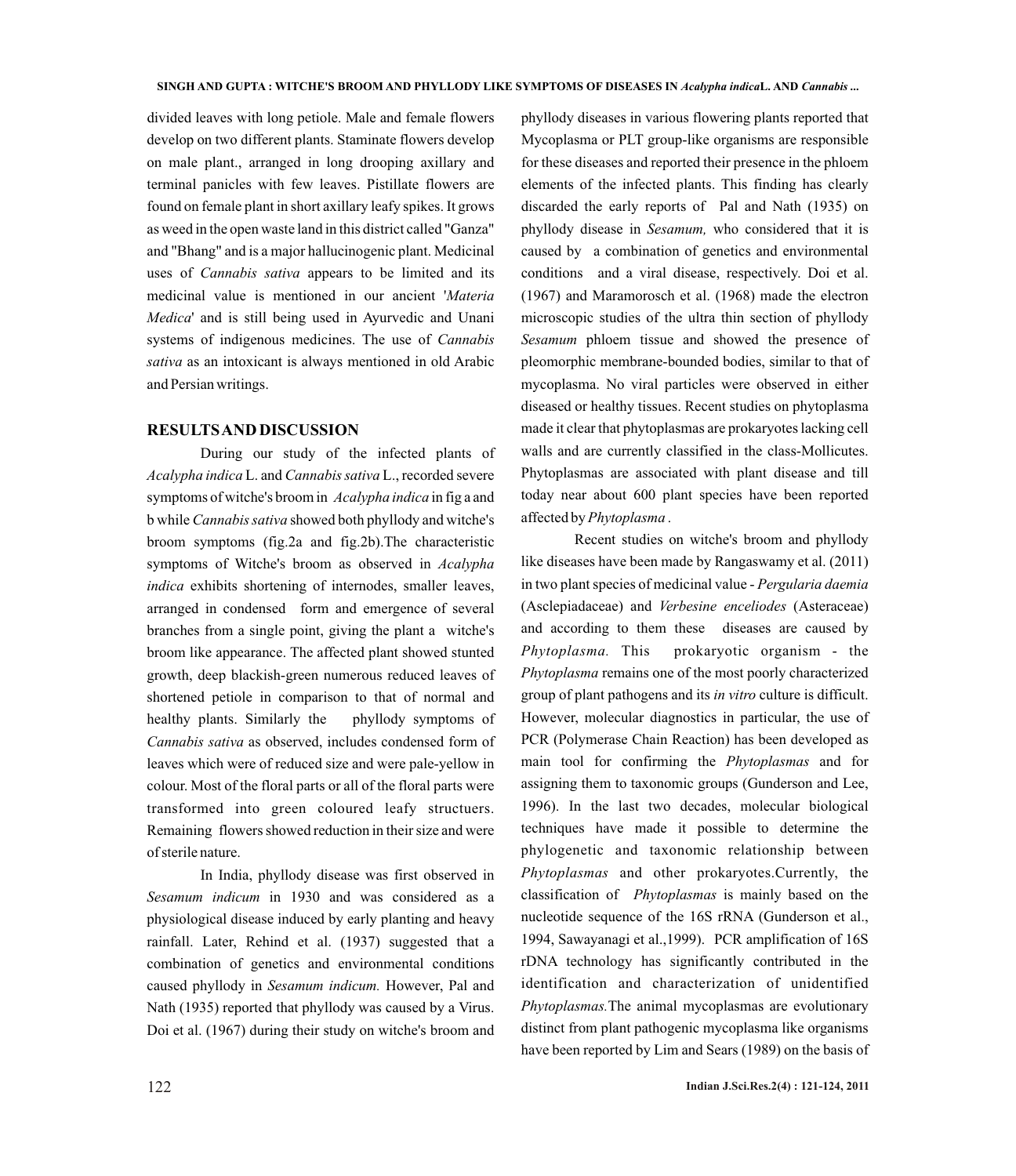divided leaves with long petiole. Male and female flowers develop on two different plants. Staminate flowers develop on male plant., arranged in long drooping axillary and terminal panicles with few leaves. Pistillate flowers are found on female plant in short axillary leafy spikes. It grows as weed in the open waste land in this district called "Ganza" and "Bhang" and is a major hallucinogenic plant. Medicinal uses of *Cannabis sativa* appears to be limited and its medicinal value is mentioned in our ancient '*Materia Medica*' and is still being used in Ayurvedic and Unani systems of indigenous medicines. The use of *Cannabis sativa* as an intoxicant is always mentioned in old Arabic and Persian writings.

#### **RESULTS AND DISCUSSION**

During our study of the infected plants of *Acalypha indica* L. and *Cannabissativa* L., recorded severe symptoms of witche's broom in *Acalypha indica* in fig a and b while *Cannabis sativa* showed both phyllody and witche's broom symptoms (fig.2a and fig.2b).The characteristic symptoms of Witche's broom as observed in *Acalypha indica* exhibits shortening of internodes, smaller leaves, arranged in condensed form and emergence of several branches from a single point, giving the plant a witche's broom like appearance. The affected plant showed stunted growth, deep blackish-green numerous reduced leaves of shortened petiole in comparison to that of normal and healthy plants. Similarly the phyllody symptoms of *Cannabis sativa* as observed, includes condensed form of leaves which were of reduced size and were pale-yellow in colour. Most of the floral parts or all of the floral parts were transformed into green coloured leafy structuers. Remaining flowers showed reduction in their size and were of sterile nature.

In India, phyllody disease was first observed in *Sesamum indicum* in 1930 and was considered as a physiological disease induced by early planting and heavy rainfall. Later, Rehind et al. (1937) suggested that a combination of genetics and environmental conditions caused phyllody in *Sesamum indicum.* However, Pal and Nath (1935) reported that phyllody was caused by a Virus. Doi et al. (1967) during their study on witche's broom and

phyllody diseases in various flowering plants reported that Mycoplasma or PLT group-like organisms are responsible for these diseases and reported their presence in the phloem elements of the infected plants. This finding has clearly discarded the early reports of Pal and Nath (1935) on phyllody disease in *Sesamum,* who considered that it is caused by a combination of genetics and environmental conditions and a viral disease, respectively. Doi et al. (1967) and Maramorosch et al. (1968) made the electron microscopic studies of the ultra thin section of phyllody *Sesamum* phloem tissue and showed the presence of pleomorphic membrane-bounded bodies, similar to that of mycoplasma. No viral particles were observed in either diseased or healthy tissues. Recent studies on phytoplasma made it clear that phytoplasmas are prokaryotes lacking cell walls and are currently classified in the class-Mollicutes. Phytoplasmas are associated with plant disease and till today near about 600 plant species have been reported affected by *Phytoplasma* .

Recent studies on witche's broom and phyllody like diseases have been made by Rangaswamy et al. (2011) in two plant species of medicinal value - *Pergularia daemia* (Asclepiadaceae) and *Verbesine enceliodes* (Asteraceae) and according to them these diseases are caused by *Phytoplasma.* This prokaryotic organism - the *Phytoplasma* remains one of the most poorly characterized group of plant pathogens and its *in vitro* culture is difficult. However, molecular diagnostics in particular, the use of PCR (Polymerase Chain Reaction) has been developed as main tool for confirming the *Phytoplasmas* and for assigning them to taxonomic groups (Gunderson and Lee, 1996). In the last two decades, molecular biological techniques have made it possible to determine the phylogenetic and taxonomic relationship between *Phytoplasmas* and other prokaryotes.Currently, the classification of *Phytoplasmas* is mainly based on the nucleotide sequence of the 16S rRNA (Gunderson et al., 1994, Sawayanagi et al.,1999). PCR amplification of 16S rDNA technology has significantly contributed in the identification and characterization of unidentified *Phytoplasmas.*The animal mycoplasmas are evolutionary distinct from plant pathogenic mycoplasma like organisms have been reported by Lim and Sears (1989) on the basis of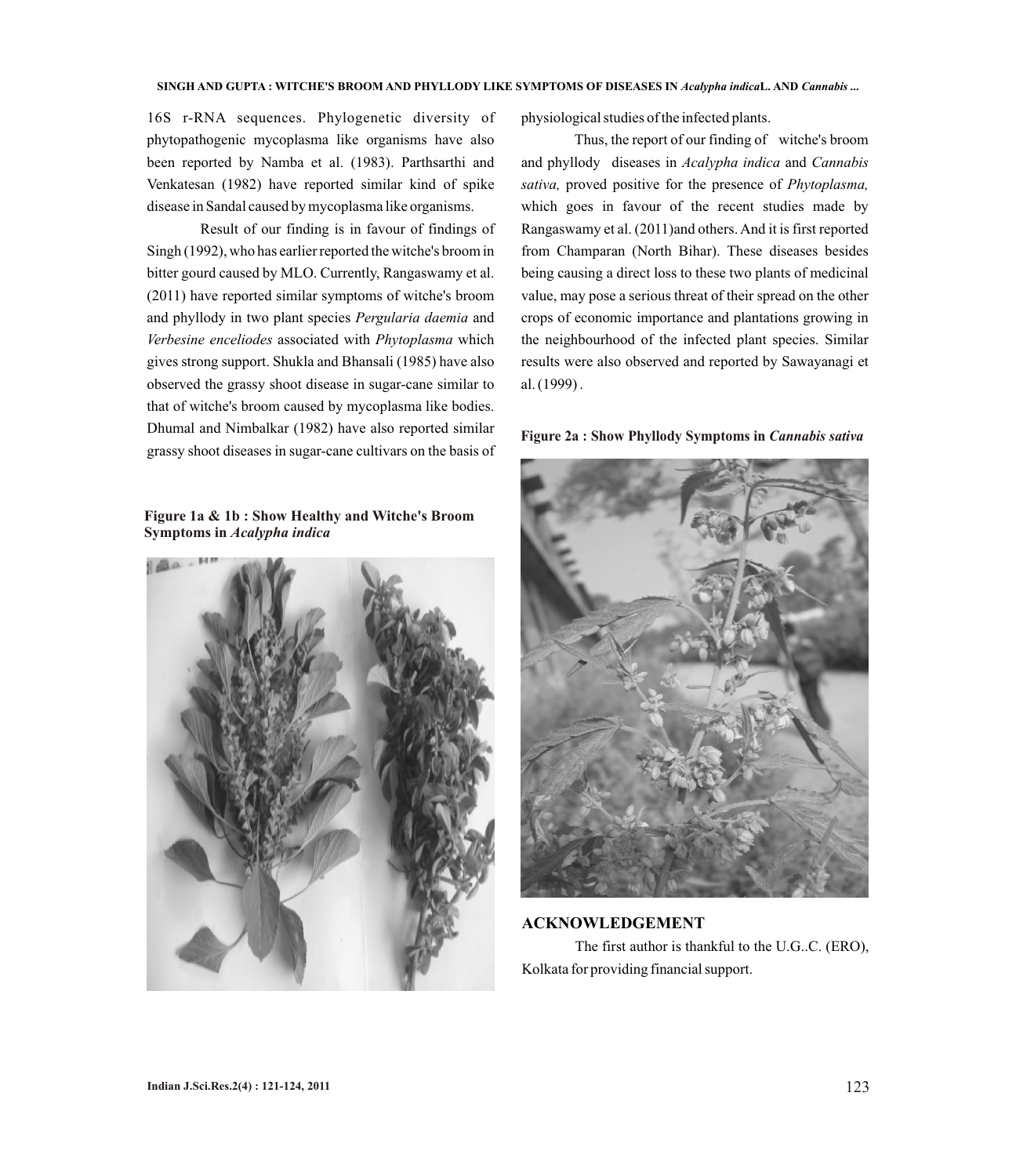16S r-RNA sequences. Phylogenetic diversity of phytopathogenic mycoplasma like organisms have also been reported by Namba et al. (1983). Parthsarthi and Venkatesan (1982) have reported similar kind of spike disease in Sandal caused by mycoplasma like organisms.

Result of our finding is in favour of findings of Singh (1992), who has earlier reported the witche's broom in bitter gourd caused by MLO. Currently, Rangaswamy et al. (2011) have reported similar symptoms of witche's broom and phyllody in two plant species *Pergularia daemia* and *Verbesine enceliodes* associated with *Phytoplasma* which gives strong support. Shukla and Bhansali (1985) have also observed the grassy shoot disease in sugar-cane similar to that of witche's broom caused by mycoplasma like bodies. Dhumal and Nimbalkar (1982) have also reported similar grassy shoot diseases in sugar-cane cultivars on the basis of

**Figure 1a & 1b : Show Healthy and Witche's Broom Symptoms in** *Acalypha indica* 



physiological studies of the infected plants.

Thus, the report of our finding of witche's broom and phyllody diseases in *Acalypha indica* and *Cannabis sativa,* proved positive for the presence of *Phytoplasma,*  which goes in favour of the recent studies made by Rangaswamy et al. (2011)and others. And it is first reported from Champaran (North Bihar). These diseases besides being causing a direct loss to these two plants of medicinal value, may pose a serious threat of their spread on the other crops of economic importance and plantations growing in the neighbourhood of the infected plant species. Similar results were also observed and reported by Sawayanagi et al.(1999) .

#### **Figure 2a : Show Phyllody Symptoms in** *Cannabis sativa*



**ACKNOWLEDGEMENT** The first author is thankful to the U.G..C. (ERO), Kolkata for providing financial support.